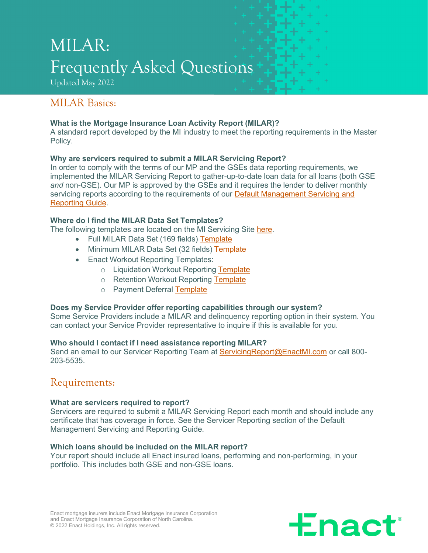# MILAR: Frequently Asked Questions

Updated May 2022

# MILAR Basics:

### **What is the Mortgage Insurance Loan Activity Report (MILAR)?**

A standard report developed by the MI industry to meet the reporting requirements in the Master Policy.

### **Why are servicers required to submit a MILAR Servicing Report?**

In order to comply with the terms of our MP and the GSEs data reporting requirements, we implemented the MILAR Servicing Report to gather-up-to-date loan data for all loans (both GSE *and* non-GSE). Our MP is approved by the GSEs and it requires the lender to deliver monthly servicing reports according to the requirements of our Default Management Servicing and [Reporting Guide.](https://miservicing.genworth.com/Publications/Default.aspx)

### **Where do I find the MILAR Data Set Templates?**

The following templates are located on the MI Servicing Site [here.](https://miservicing.genworth.com/Publications/Default.aspx)

- Full MILAR Data Set (169 fields) [Template](https://miservicing.genworth.com/pdfu/Full_MILAR_Data_Set_(169_Fields)%202022.xlsx)
- Minimum MILAR Data Set (32 fields) [Template](https://miservicing.genworth.com/pdfu/Minimum_MILAR_Data_Set_(32_Fields)%202022.xlsx)
- Enact Workout Reporting Templates:
	- o Liquidation Workout Reporting [Template](https://miservicing.genworth.com/pdfu/Enact%20Liquidation%20Workout%20Reporting%20Template.xlsx)
	- o Retention Workout Reporting [Template](https://miservicing.genworth.com/pdfu/Enact%20Retention%20Workout%20Reporting%20Template.xlsx)
	- o Payment Deferral [Template](https://miservicing.genworth.com/pdfu/MI%20Payment%20Deferral%20Template.xlsx)

### **Does my Service Provider offer reporting capabilities through our system?**

Some Service Providers include a MILAR and delinquency reporting option in their system. You can contact your Service Provider representative to inquire if this is available for you.

### **Who should I contact if I need assistance reporting MILAR?**

Send an email to our Servicer Reporting Team at [ServicingReport@EnactMI.com](mailto:ServicingReport@EnactMI.com) or call 800-203-5535.

# Requirements:

### **What are servicers required to report?**

Servicers are required to submit a MILAR Servicing Report each month and should include any certificate that has coverage in force. See the Servicer Reporting section of the Default Management Servicing and Reporting Guide.

### **Which loans should be included on the MILAR report?**

Your report should include all Enact insured loans, performing and non-performing, in your portfolio. This includes both GSE and non-GSE loans.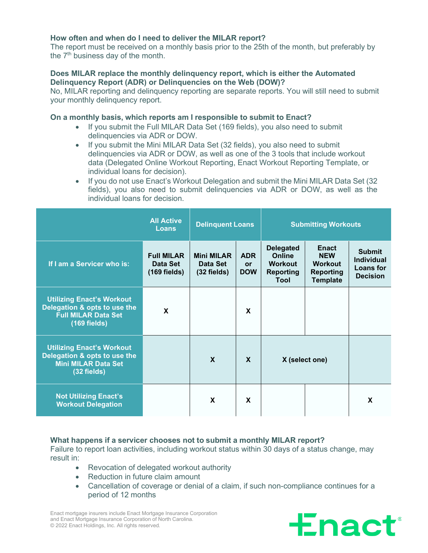### **How often and when do I need to deliver the MILAR report?**

The report must be received on a monthly basis prior to the 25th of the month, but preferably by the 7<sup>th</sup> business day of the month.

#### **Does MILAR replace the monthly delinquency report, which is either the Automated Delinquency Report (ADR) or Delinquencies on the Web (DOW)?**

No, MILAR reporting and delinquency reporting are separate reports. You will still need to submit your monthly delinquency report.

#### **On a monthly basis, which reports am I responsible to submit to Enact?**

- If you submit the Full MILAR Data Set (169 fields), you also need to submit delinquencies via ADR or DOW.
- If you submit the Mini MILAR Data Set (32 fields), you also need to submit delinquencies via ADR or DOW, as well as one of the 3 tools that include workout data (Delegated Online Workout Reporting, Enact Workout Reporting Template, or individual loans for decision).
- If you do not use Enact's Workout Delegation and submit the Mini MILAR Data Set (32 fields), you also need to submit delinquencies via ADR or DOW, as well as the individual loans for decision.

|                                                                                                                  | <b>All Active</b><br><b>Loans</b>               | <b>Delinquent Loans</b>                        |                                | <b>Submitting Workouts</b>                                               |                                                                              |                                                                           |
|------------------------------------------------------------------------------------------------------------------|-------------------------------------------------|------------------------------------------------|--------------------------------|--------------------------------------------------------------------------|------------------------------------------------------------------------------|---------------------------------------------------------------------------|
| If I am a Servicer who is:                                                                                       | <b>Full MILAR</b><br>Data Set<br>$(169$ fields) | <b>Mini MILAR</b><br>Data Set<br>$(32$ fields) | <b>ADR</b><br>or<br><b>DOW</b> | <b>Delegated</b><br>Online<br><b>Workout</b><br><b>Reporting</b><br>Tool | Enact<br><b>NEW</b><br><b>Workout</b><br><b>Reporting</b><br><b>Template</b> | <b>Submit</b><br><b>Individual</b><br><b>Loans for</b><br><b>Decision</b> |
| <b>Utilizing Enact's Workout</b><br>Delegation & opts to use the<br><b>Full MILAR Data Set</b><br>$(169$ fields) | X                                               |                                                | $\boldsymbol{\mathsf{X}}$      |                                                                          |                                                                              |                                                                           |
| <b>Utilizing Enact's Workout</b><br>Delegation & opts to use the<br><b>Mini MILAR Data Set</b><br>$(32$ fields)  |                                                 | $\mathbf x$                                    | $\mathbf{x}$                   | X (select one)                                                           |                                                                              |                                                                           |
| <b>Not Utilizing Enact's</b><br><b>Workout Delegation</b>                                                        |                                                 | X                                              | $\mathbf x$                    |                                                                          |                                                                              | X                                                                         |

### **What happens if a servicer chooses not to submit a monthly MILAR report?**

Failure to report loan activities, including workout status within 30 days of a status change, may result in:

- Revocation of delegated workout authority
- Reduction in future claim amount
- Cancellation of coverage or denial of a claim, if such non-compliance continues for a period of 12 months



Enact mortgage insurers include Enact Mortgage Insurance Corporation and Enact Mortgage Insurance Corporation of North Carolina. © 2022 Enact Holdings, Inc. All rights reserved.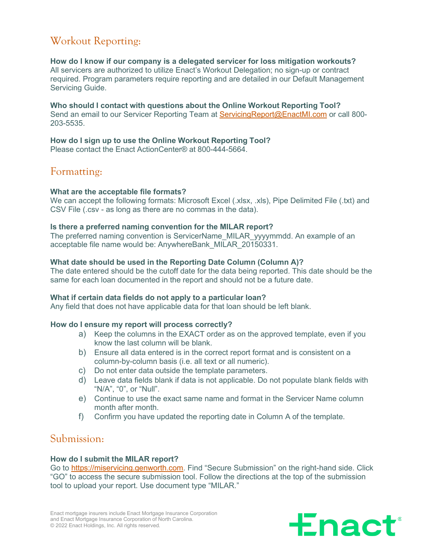# Workout Reporting:

**How do I know if our company is a delegated servicer for loss mitigation workouts?** All servicers are authorized to utilize Enact's Workout Delegation; no sign-up or contract required. Program parameters require reporting and are detailed in our Default Management Servicing Guide.

**Who should I contact with questions about the Online Workout Reporting Tool?** Send an email to our Servicer Reporting Team at [ServicingReport@EnactMI.com](mailto:ServicingReport@EnactMI.com) or call 800- 203-5535.

## **How do I sign up to use the Online Workout Reporting Tool?**

Please contact the Enact ActionCenter® at 800-444-5664.

# Formatting:

### **What are the acceptable file formats?**

We can accept the following formats: Microsoft Excel (.xlsx, .xls), Pipe Delimited File (.txt) and CSV File (.csv - as long as there are no commas in the data).

### **Is there a preferred naming convention for the MILAR report?**

The preferred naming convention is ServicerName\_MILAR\_yyyymmdd. An example of an acceptable file name would be: AnywhereBank\_MILAR\_20150331.

### **What date should be used in the Reporting Date Column (Column A)?**

The date entered should be the cutoff date for the data being reported. This date should be the same for each loan documented in the report and should not be a future date.

### **What if certain data fields do not apply to a particular loan?**

Any field that does not have applicable data for that loan should be left blank.

### **How do I ensure my report will process correctly?**

- a) Keep the columns in the EXACT order as on the approved template, even if you know the last column will be blank.
- b) Ensure all data entered is in the correct report format and is consistent on a column-by-column basis (i.e. all text or all numeric).
- c) Do not enter data outside the template parameters.
- d) Leave data fields blank if data is not applicable. Do not populate blank fields with "N/A", "0", or "Null".
- e) Continue to use the exact same name and format in the Servicer Name column month after month.
- f) Confirm you have updated the reporting date in Column A of the template.

### Submission:

### **How do I submit the MILAR report?**

Go to [https://miservicing.genworth.com.](https://miservicing.genworth.com/) Find "Secure Submission" on the right-hand side. Click "GO" to access the secure submission tool. Follow the directions at the top of the submission tool to upload your report. Use document type "MILAR."